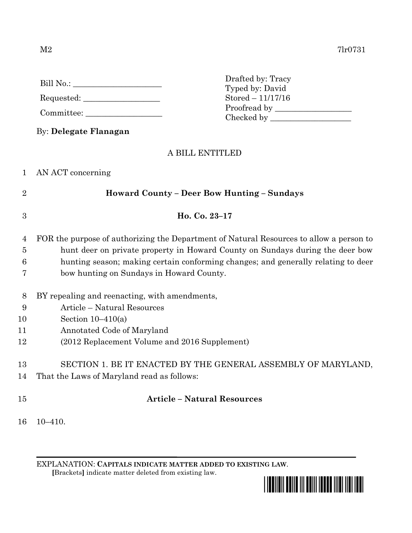|                | Drafted by: Tracy<br>Typed by: David<br>$Stored - 11/17/16$<br>$Committee: \begin{tabular}{c} \multicolumn{3}{c} {\textbf \textit{Committee}}: \end{tabular}$ |
|----------------|---------------------------------------------------------------------------------------------------------------------------------------------------------------|
|                | By: Delegate Flanagan<br>A BILL ENTITLED                                                                                                                      |
|                | 1 AN ACT concerning                                                                                                                                           |
| $\overline{2}$ | <b>Howard County – Deer Bow Hunting – Sundays</b>                                                                                                             |
|                |                                                                                                                                                               |

Drafted by: Tracy

- 4 FOR the purpose of authorizing the Department of Natural Resources to allow a person to 5 hunt deer on private property in Howard County on Sundays during the deer bow 6 hunting season; making certain conforming changes; and generally relating to deer
- 7 bow hunting on Sundays in Howard County.

3 **Ho. Co. 23–17**

- 8 BY repealing and reenacting, with amendments,
- 9 Article Natural Resources
- 10 Section 10–410(a)
- 11 Annotated Code of Maryland
- 12 (2012 Replacement Volume and 2016 Supplement)
- 13 SECTION 1. BE IT ENACTED BY THE GENERAL ASSEMBLY OF MARYLAND,
- 14 That the Laws of Maryland read as follows:
- 

## 15 **Article – Natural Resources**

16 10–410.

EXPLANATION: **CAPITALS INDICATE MATTER ADDED TO EXISTING LAW**.  **[**Brackets**]** indicate matter deleted from existing law.

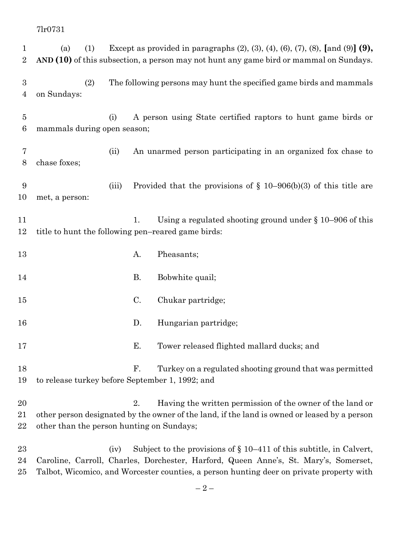(a) (1) Except as provided in paragraphs (2), (3), (4), (6), (7), (8), **[**and (9)**] (9), AND (10)** of this subsection, a person may not hunt any game bird or mammal on Sundays. (2) The following persons may hunt the specified game birds and mammals on Sundays: (i) A person using State certified raptors to hunt game birds or mammals during open season; (ii) An unarmed person participating in an organized fox chase to chase foxes; (iii) Provided that the provisions of § 10–906(b)(3) of this title are met, a person: 11 1. Using a regulated shooting ground under § 10–906 of this title to hunt the following pen–reared game birds: 13 A. Pheasants; 14 B. Bobwhite quail; C. Chukar partridge; D. Hungarian partridge; E. Tower released flighted mallard ducks; and F. Turkey on a regulated shooting ground that was permitted to release turkey before September 1, 1992; and 20 2. Having the written permission of the owner of the land or other person designated by the owner of the land, if the land is owned or leased by a person other than the person hunting on Sundays; (iv) Subject to the provisions of § 10–411 of this subtitle, in Calvert, Caroline, Carroll, Charles, Dorchester, Harford, Queen Anne's, St. Mary's, Somerset,

Talbot, Wicomico, and Worcester counties, a person hunting deer on private property with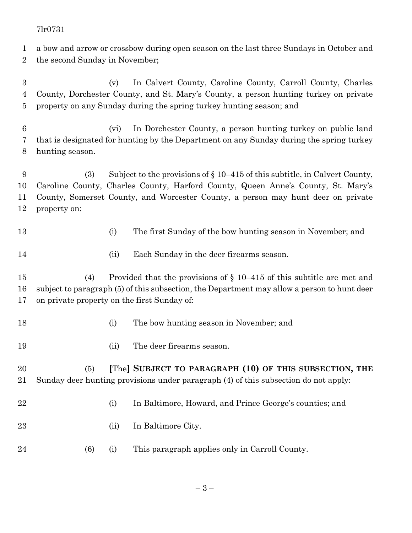a bow and arrow or crossbow during open season on the last three Sundays in October and

the second Sunday in November;

 (v) In Calvert County, Caroline County, Carroll County, Charles County, Dorchester County, and St. Mary's County, a person hunting turkey on private property on any Sunday during the spring turkey hunting season; and

 (vi) In Dorchester County, a person hunting turkey on public land that is designated for hunting by the Department on any Sunday during the spring turkey hunting season.

 (3) Subject to the provisions of § 10–415 of this subtitle, in Calvert County, Caroline County, Charles County, Harford County, Queen Anne's County, St. Mary's County, Somerset County, and Worcester County, a person may hunt deer on private property on:

(i) The first Sunday of the bow hunting season in November; and

- 
- (ii) Each Sunday in the deer firearms season.

 (4) Provided that the provisions of § 10–415 of this subtitle are met and subject to paragraph (5) of this subsection, the Department may allow a person to hunt deer on private property on the first Sunday of:

- (i) The bow hunting season in November; and
- (ii) The deer firearms season.

 (5) **[**The**] SUBJECT TO PARAGRAPH (10) OF THIS SUBSECTION, THE** Sunday deer hunting provisions under paragraph (4) of this subsection do not apply:

- - (i) In Baltimore, Howard, and Prince George's counties; and
	- (ii) In Baltimore City.
	- (6) (i) This paragraph applies only in Carroll County.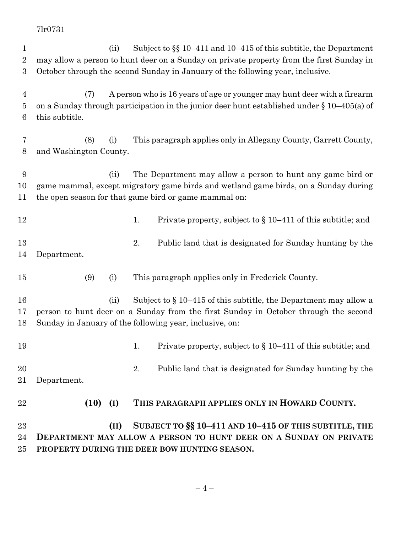(ii) Subject to §§ 10–411 and 10–415 of this subtitle, the Department may allow a person to hunt deer on a Sunday on private property from the first Sunday in October through the second Sunday in January of the following year, inclusive. (7) A person who is 16 years of age or younger may hunt deer with a firearm on a Sunday through participation in the junior deer hunt established under § 10–405(a) of this subtitle. (8) (i) This paragraph applies only in Allegany County, Garrett County, and Washington County. (ii) The Department may allow a person to hunt any game bird or game mammal, except migratory game birds and wetland game birds, on a Sunday during the open season for that game bird or game mammal on: 12 1. Private property, subject to  $\{10-411\}$  of this subtitle; and 2. Public land that is designated for Sunday hunting by the Department. (9) (i) This paragraph applies only in Frederick County. (ii) Subject to § 10–415 of this subtitle, the Department may allow a person to hunt deer on a Sunday from the first Sunday in October through the second Sunday in January of the following year, inclusive, on: 19 1. Private property, subject to § 10–411 of this subtitle; and 20 2. Public land that is designated for Sunday hunting by the Department. **(10) (I) THIS PARAGRAPH APPLIES ONLY IN HOWARD COUNTY. (II) SUBJECT TO §§ 10–411 AND 10–415 OF THIS SUBTITLE, THE DEPARTMENT MAY ALLOW A PERSON TO HUNT DEER ON A SUNDAY ON PRIVATE PROPERTY DURING THE DEER BOW HUNTING SEASON.**